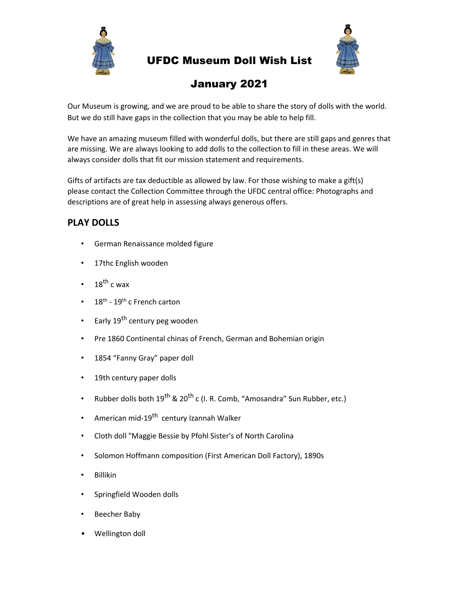

## UFDC Museum Doll Wish List



# January 2021

Our Museum is growing, and we are proud to be able to share the story of dolls with the world. But we do still have gaps in the collection that you may be able to help fill.

We have an amazing museum filled with wonderful dolls, but there are still gaps and genres that are missing. We are always looking to add dolls to the collection to fill in these areas. We will always consider dolls that fit our mission statement and requirements.

Gifts of artifacts are tax deductible as allowed by law. For those wishing to make a gift(s) please contact the Collection Committee through the UFDC central office: Photographs and descriptions are of great help in assessing always generous offers.

## **PLAY DOLLS**

- German Renaissance molded figure
- 17thc English wooden
- $18^{th}$  c wax
- 18<sup>th</sup> 19<sup>th</sup> c French carton
- Early 19<sup>th</sup> century peg wooden
- Pre 1860 Continental chinas of French, German and Bohemian origin
- 1854 "Fanny Gray" paper doll
- 19th century paper dolls
- Rubber dolls both  $19^{th}$  &  $20^{th}$  c (I. R. Comb, "Amosandra" Sun Rubber, etc.)
- American mid-19<sup>th</sup> century Izannah Walker
- Cloth doll "Maggie Bessie by Pfohl Sister's of North Carolina
- Solomon Hoffmann composition (First American Doll Factory), 1890s
- Billikin
- Springfield Wooden dolls
- Beecher Baby
- Wellington doll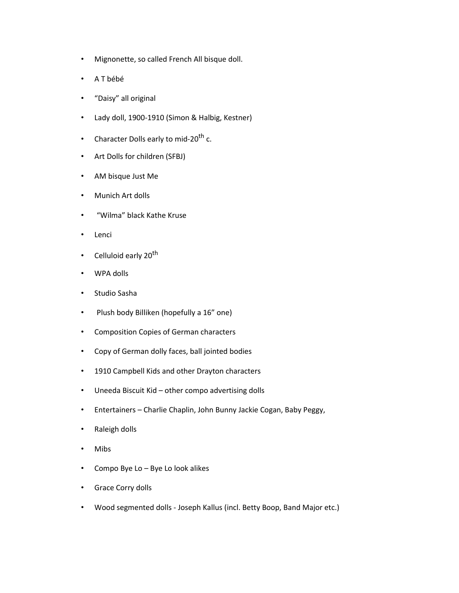- Mignonette, so called French All bisque doll.
- A T bébé
- "Daisy" all original
- Lady doll, 1900-1910 (Simon & Halbig, Kestner)
- Character Dolls early to mid-20<sup>th</sup> c.
- Art Dolls for children (SFBJ)
- AM bisque Just Me
- Munich Art dolls
- "Wilma" black Kathe Kruse
- Lenci
- Celluloid early 20<sup>th</sup>
- WPA dolls
- Studio Sasha
- Plush body Billiken (hopefully a 16" one)
- Composition Copies of German characters
- Copy of German dolly faces, ball jointed bodies
- 1910 Campbell Kids and other Drayton characters
- Uneeda Biscuit Kid other compo advertising dolls
- Entertainers Charlie Chaplin, John Bunny Jackie Cogan, Baby Peggy,
- Raleigh dolls
- Mibs
- Compo Bye Lo Bye Lo look alikes
- Grace Corry dolls
- Wood segmented dolls Joseph Kallus (incl. Betty Boop, Band Major etc.)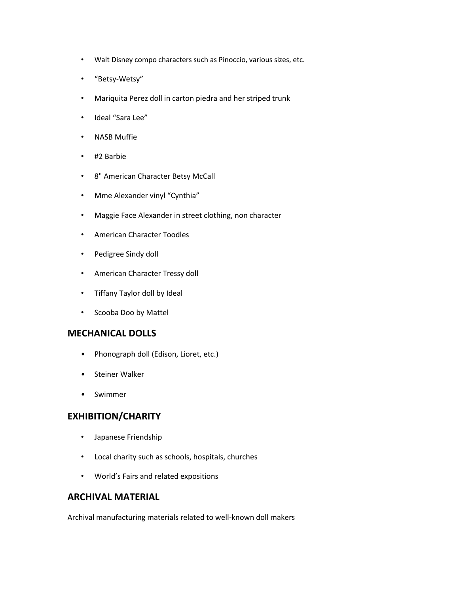- Walt Disney compo characters such as Pinoccio, various sizes, etc.
- "Betsy-Wetsy"
- Mariquita Perez doll in carton piedra and her striped trunk
- Ideal "Sara Lee"
- NASB Muffie
- #2 Barbie
- 8" American Character Betsy McCall
- Mme Alexander vinyl "Cynthia"
- Maggie Face Alexander in street clothing, non character
- American Character Toodles
- Pedigree Sindy doll
- American Character Tressy doll
- Tiffany Taylor doll by Ideal
- Scooba Doo by Mattel

#### **MECHANICAL DOLLS**

- Phonograph doll (Edison, Lioret, etc.)
- Steiner Walker
- Swimmer

#### **EXHIBITION/CHARITY**

- Japanese Friendship
- Local charity such as schools, hospitals, churches
- World's Fairs and related expositions

#### **ARCHIVAL MATERIAL**

Archival manufacturing materials related to well-known doll makers